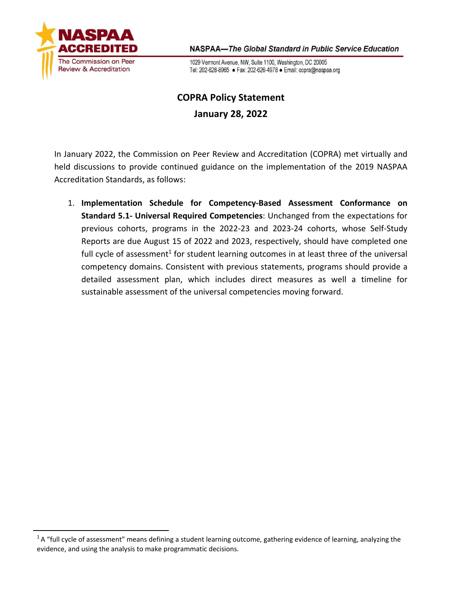

NASPAA-The Global Standard in Public Service Education

1029 Vermont Avenue, NW, Suite 1100, Washington, DC 20005 Tel: 202-628-8965 · Fax: 202-626-4978 · Email: copra@naspaa.org

# **COPRA Policy Statement January 28, 2022**

In January 2022, the Commission on Peer Review and Accreditation (COPRA) met virtually and held discussions to provide continued guidance on the implementation of the 2019 NASPAA Accreditation Standards, as follows:

1. **Implementation Schedule for Competency-Based Assessment Conformance on Standard 5.1- Universal Required Competencies**: Unchanged from the expectations for previous cohorts, programs in the 2022-23 and 2023-24 cohorts, whose Self-Study Reports are due August 15 of 2022 and 2023, respectively, should have completed one full cycle of assessment<sup>1</sup> for student learning outcomes in at least three of the universal competency domains. Consistent with previous statements, programs should provide a detailed assessment plan, which includes direct measures as well a timeline for sustainable assessment of the universal competencies moving forward.

 $1A$  "full cycle of assessment" means defining a student learning outcome, gathering evidence of learning, analyzing the evidence, and using the analysis to make programmatic decisions.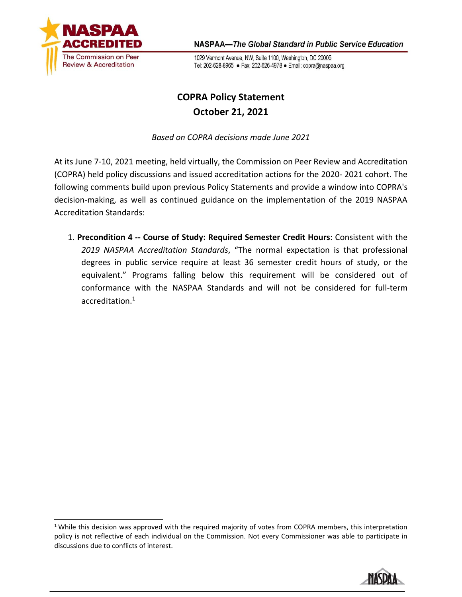

NASPAA-The Global Standard in Public Service Education

1029 Vermont Avenue, NW, Suite 1100, Washington, DC 20005 Tel: 202-628-8965 · Fax: 202-626-4978 · Email: copra@naspaa.org

## **COPRA Policy Statement October 21, 2021**

*Based on COPRA decisions made June 2021*

At its June 7-10, 2021 meeting, held virtually, the Commission on Peer Review and Accreditation (COPRA) held policy discussions and issued accreditation actions for the 2020- 2021 cohort. The following comments build upon previous Policy Statements and provide a window into COPRA's decision-making, as well as continued guidance on the implementation of the 2019 NASPAA Accreditation Standards:

1. **Precondition 4 -- Course of Study: Required Semester Credit Hours**: Consistent with the *2019 NASPAA Accreditation Standards*, "The normal expectation is that professional degrees in public service require at least 36 semester credit hours of study, or the equivalent." Programs falling below this requirement will be considered out of conformance with the NASPAA Standards and will not be considered for full-term accreditation[.1](#page-1-0)

<span id="page-1-0"></span> $1$  While this decision was approved with the required majority of votes from COPRA members, this interpretation policy is not reflective of each individual on the Commission. Not every Commissioner was able to participate in discussions due to conflicts of interest.

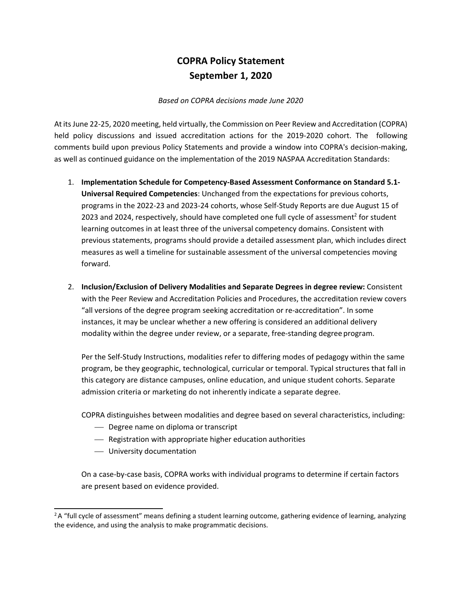## **COPRA Policy Statement September 1, 2020**

### *Based on COPRA decisions made June 2020*

At its June 22-25, 2020 meeting, held virtually, the Commission on Peer Review and Accreditation (COPRA) held policy discussions and issued accreditation actions for the 2019-2020 cohort. The following comments build upon previous Policy Statements and provide a window into COPRA's decision-making, as well as continued guidance on the implementation of the 2019 NASPAA Accreditation Standards:

- 1. **Implementation Schedule for Competency-Based Assessment Conformance on Standard 5.1- Universal Required Competencies**: Unchanged from the expectations for previous cohorts, programs in the 2022-23 and 2023-24 cohorts, whose Self-Study Reports are due August 15 of 2023 and 2024, respectively, should have completed one full cycle of assessment<sup>2</sup> for student learning outcomes in at least three of the universal competency domains. Consistent with previous statements, programs should provide a detailed assessment plan, which includes direct measures as well a timeline for sustainable assessment of the universal competencies moving forward.
- 2. **Inclusion/Exclusion of Delivery Modalities and Separate Degrees in degree review:** Consistent with the Peer Review and Accreditation Policies and Procedures, the accreditation review covers "all versions of the degree program seeking accreditation or re-accreditation". In some instances, it may be unclear whether a new offering is considered an additional delivery modality within the degree under review, or a separate, free-standing degree program.

Per the Self-Study Instructions, modalities refer to differing modes of pedagogy within the same program, be they geographic, technological, curricular or temporal. Typical structures that fall in this category are distance campuses, online education, and unique student cohorts. Separate admission criteria or marketing do not inherently indicate a separate degree.

COPRA distinguishes between modalities and degree based on several characteristics, including:

- Degree name on diploma or transcript
- Registration with appropriate higher education authorities
- University documentation

On a case-by-case basis, COPRA works with individual programs to determine if certain factors are present based on evidence provided.

<span id="page-2-0"></span> $2A$  "full cycle of assessment" means defining a student learning outcome, gathering evidence of learning, analyzing the evidence, and using the analysis to make programmatic decisions.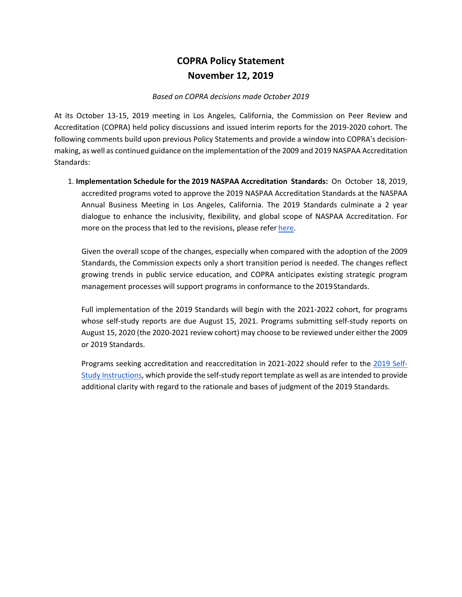## **COPRA Policy Statement November 12, 2019**

#### *Based on COPRA decisions made October 2019*

At its October 13-15, 2019 meeting in Los Angeles, California, the Commission on Peer Review and Accreditation (COPRA) held policy discussions and issued interim reports for the 2019-2020 cohort. The following comments build upon previous Policy Statements and provide a window into COPRA's decisionmaking, as well as continued guidance on the implementation of the 2009 and 2019 NASPAA Accreditation Standards:

1. **Implementation Schedule for the 2019 NASPAA Accreditation Standards:** On October 18, 2019, accredited programs voted to approve the 2019 NASPAA Accreditation Standards at the NASPAA Annual Business Meeting in Los Angeles, California. The 2019 Standards culminate a 2 year dialogue to enhance the inclusivity, flexibility, and global scope of NASPAA Accreditation. For more on the process that led to the revisions, please refer [here.](https://www.naspaa.org/accreditation/education-and-training/naspaa-standards-colloquia)

Given the overall scope of the changes, especially when compared with the adoption of the 2009 Standards, the Commission expects only a short transition period is needed. The changes reflect growing trends in public service education, and COPRA anticipates existing strategic program management processes will support programs in conformance to the 2019Standards.

Full implementation of the 2019 Standards will begin with the 2021-2022 cohort, for programs whose self-study reports are due August 15, 2021. Programs submitting self-study reports on August 15, 2020 (the 2020-2021 review cohort) may choose to be reviewed under either the 2009 or 2019 Standards.

Programs seeking accreditation and reaccreditation in 2021-2022 should refer to the [2019 Self-](https://www.naspaa.org/sites/default/files/docs/2019-11/2019%20Self-Study%20Instructions%20for%20COPRA%20Review%20FINAL_0.pdf)[Study Instructions,](https://www.naspaa.org/sites/default/files/docs/2019-11/2019%20Self-Study%20Instructions%20for%20COPRA%20Review%20FINAL_0.pdf) which provide the self-study report template as well as are intended to provide additional clarity with regard to the rationale and bases of judgment of the 2019 Standards.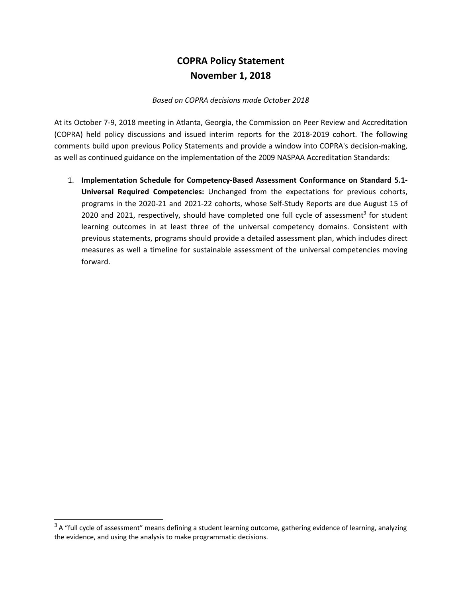## **COPRA Policy Statement November 1, 2018**

#### *Based on COPRA decisions made October 2018*

At its October 7-9, 2018 meeting in Atlanta, Georgia, the Commission on Peer Review and Accreditation (COPRA) held policy discussions and issued interim reports for the 2018-2019 cohort. The following comments build upon previous Policy Statements and provide a window into COPRA's decision-making, as well as continued guidance on the implementation of the 2009 NASPAA Accreditation Standards:

1. **Implementation Schedule for Competency-Based Assessment Conformance on Standard 5.1- Universal Required Competencies:** Unchanged from the expectations for previous cohorts, programs in the 2020-21 and 2021-22 cohorts, whose Self-Study Reports are due August 15 of 2020 and 2021, respectively, should have completed one full cycle of assessment<sup>3</sup> for student learning outcomes in at least three of the universal competency domains. Consistent with previous statements, programs should provide a detailed assessment plan, which includes direct measures as well a timeline for sustainable assessment of the universal competencies moving forward.

<span id="page-4-0"></span> $3A$  "full cycle of assessment" means defining a student learning outcome, gathering evidence of learning, analyzing the evidence, and using the analysis to make programmatic decisions.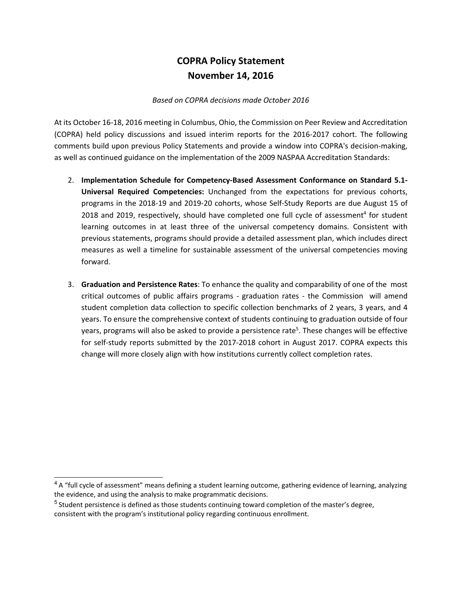## **COPRA Policy Statement November 14, 2016**

#### *Based on COPRA decisions made October 2016*

At its October 16-18, 2016 meeting in Columbus, Ohio, the Commission on Peer Review and Accreditation (COPRA) held policy discussions and issued interim reports for the 2016-2017 cohort. The following comments build upon previous Policy Statements and provide a window into COPRA's decision-making, as well as continued guidance on the implementation of the 2009 NASPAA Accreditation Standards:

- 2. **Implementation Schedule for Competency-Based Assessment Conformance on Standard 5.1- Universal Required Competencies:** Unchanged from the expectations for previous cohorts, programs in the 2018-19 and 2019-20 cohorts, whose Self-Study Reports are due August 15 of 2018 and 2019, respectively, should have completed one full cycle of assessment<sup>4</sup> for student learning outcomes in at least three of the universal competency domains. Consistent with previous statements, programs should provide a detailed assessment plan, which includes direct measures as well a timeline for sustainable assessment of the universal competencies moving forward.
- 3. **Graduation and Persistence Rates**: To enhance the quality and comparability of one of the most critical outcomes of public affairs programs - graduation rates - the Commission will amend student completion data collection to specific collection benchmarks of 2 years, 3 years, and 4 years. To ensure the comprehensive context of students continuing to graduation outside of four years, programs will also be asked to provide a persistence rate<sup>5</sup>. These changes will be effective for self-study reports submitted by the 2017-2018 cohort in August 2017. COPRA expects this change will more closely align with how institutions currently collect completion rates.

<span id="page-5-0"></span><sup>&</sup>lt;sup>4</sup> A "full cycle of assessment" means defining a student learning outcome, gathering evidence of learning, analyzing the evidence, and using the analysis to make programmatic decisions.

<span id="page-5-1"></span> $<sup>5</sup>$  Student persistence is defined as those students continuing toward completion of the master's degree,</sup> consistent with the program's institutional policy regarding continuous enrollment.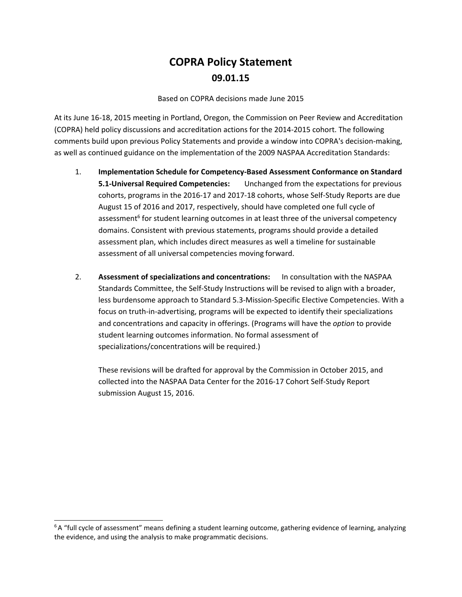# **COPRA Policy Statement 09.01.15**

Based on COPRA decisions made June 2015

At its June 16-18, 2015 meeting in Portland, Oregon, the Commission on Peer Review and Accreditation (COPRA) held policy discussions and accreditation actions for the 2014-2015 cohort. The following comments build upon previous Policy Statements and provide a window into COPRA's decision-making, as well as continued guidance on the implementation of the 2009 NASPAA Accreditation Standards:

- 1. **Implementation Schedule for Competency-Based Assessment Conformance on Standard 5.1-Universal Required Competencies:** Unchanged from the expectations for previous cohorts, programs in the 2016-17 and 2017-18 cohorts, whose Self-Study Reports are due August 15 of 2016 and 2017, respectively, should have completed one full cycle of assessment<sup>6</sup> for student learning outcomes in at least three of the universal competency domains. Consistent with previous statements, programs should provide a detailed assessment plan, which includes direct measures as well a timeline for sustainable assessment of all universal competencies moving forward.
- 2. **Assessment of specializations and concentrations:** In consultation with the NASPAA Standards Committee, the Self-Study Instructions will be revised to align with a broader, less burdensome approach to Standard 5.3-Mission-Specific Elective Competencies. With a focus on truth-in-advertising, programs will be expected to identify their specializations and concentrations and capacity in offerings. (Programs will have the *option* to provide student learning outcomes information. No formal assessment of specializations/concentrations will be required.)

These revisions will be drafted for approval by the Commission in October 2015, and collected into the NASPAA Data Center for the 2016-17 Cohort Self-Study Report submission August 15, 2016.

<span id="page-6-0"></span> $6A$  "full cycle of assessment" means defining a student learning outcome, gathering evidence of learning, analyzing the evidence, and using the analysis to make programmatic decisions.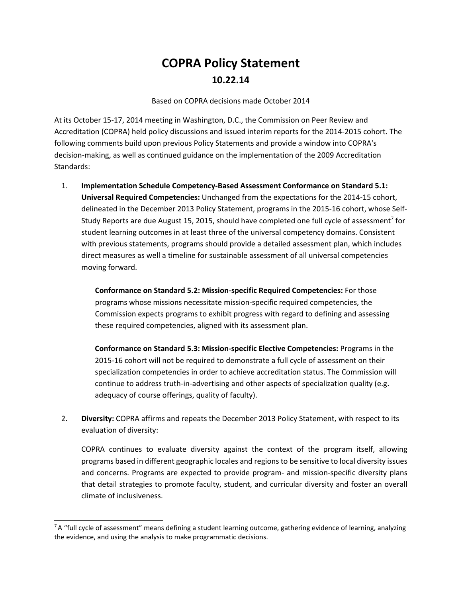# **COPRA Policy Statement 10.22.14**

Based on COPRA decisions made October 2014

At its October 15-17, 2014 meeting in Washington, D.C., the Commission on Peer Review and Accreditation (COPRA) held policy discussions and issued interim reports for the 2014-2015 cohort. The following comments build upon previous Policy Statements and provide a window into COPRA's decision-making, as well as continued guidance on the implementation of the 2009 Accreditation Standards:

1. **Implementation Schedule Competency-Based Assessment Conformance on Standard 5.1: Universal Required Competencies:** Unchanged from the expectations for the 2014-15 cohort, delineated in the December 2013 Policy Statement, programs in the 2015-16 cohort, whose Self-Study Reports are due August 15, 2015, should have completed one full cycle of assessment<sup>7</sup> for student learning outcomes in at least three of the universal competency domains. Consistent with previous statements, programs should provide a detailed assessment plan, which includes direct measures as well a timeline for sustainable assessment of all universal competencies moving forward.

**Conformance on Standard 5.2: Mission-specific Required Competencies:** For those programs whose missions necessitate mission-specific required competencies, the Commission expects programs to exhibit progress with regard to defining and assessing these required competencies, aligned with its assessment plan.

**Conformance on Standard 5.3: Mission-specific Elective Competencies:** Programs in the 2015-16 cohort will not be required to demonstrate a full cycle of assessment on their specialization competencies in order to achieve accreditation status. The Commission will continue to address truth-in-advertising and other aspects of specialization quality (e.g. adequacy of course offerings, quality of faculty).

2. **Diversity:** COPRA affirms and repeats the December 2013 Policy Statement, with respect to its evaluation of diversity:

COPRA continues to evaluate diversity against the context of the program itself, allowing programs based in different geographic locales and regions to be sensitive to local diversity issues and concerns. Programs are expected to provide program- and mission-specific diversity plans that detail strategies to promote faculty, student, and curricular diversity and foster an overall climate of inclusiveness.

<span id="page-7-0"></span> $7A$  "full cycle of assessment" means defining a student learning outcome, gathering evidence of learning, analyzing the evidence, and using the analysis to make programmatic decisions.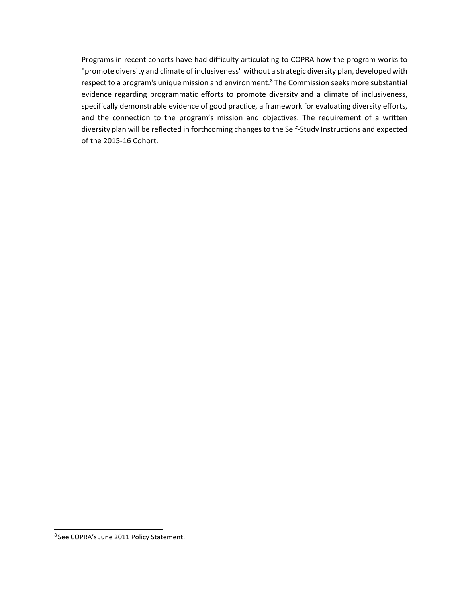Programs in recent cohorts have had difficulty articulating to COPRA how the program works to "promote diversity and climate of inclusiveness" without a strategic diversity plan, developed with respect to a program's unique mission and environment.<sup>8</sup> The Commission seeks more substantial evidence regarding programmatic efforts to promote diversity and a climate of inclusiveness, specifically demonstrable evidence of good practice, a framework for evaluating diversity efforts, and the connection to the program's mission and objectives. The requirement of a written diversity plan will be reflected in forthcoming changes to the Self-Study Instructions and expected of the 2015-16 Cohort.

<span id="page-8-0"></span><sup>8</sup> See COPRA's June 2011 Policy Statement.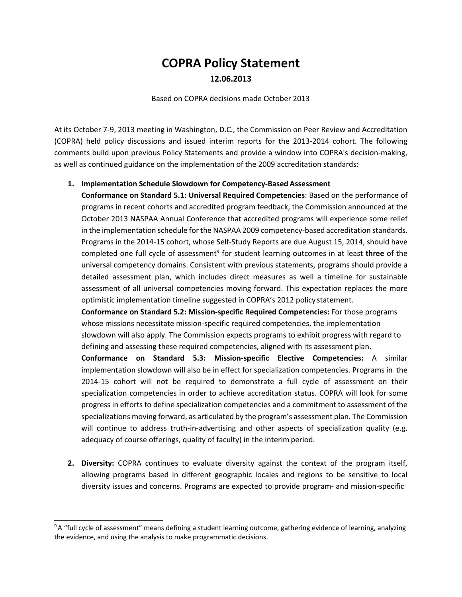# **COPRA Policy Statement 12.06.2013**

Based on COPRA decisions made October 2013

At its October 7-9, 2013 meeting in Washington, D.C., the Commission on Peer Review and Accreditation (COPRA) held policy discussions and issued interim reports for the 2013-2014 cohort. The following comments build upon previous Policy Statements and provide a window into COPRA's decision-making, as well as continued guidance on the implementation of the 2009 accreditation standards:

### **1. Implementation Schedule Slowdown for Competency-Based Assessment**

**Conformance on Standard 5.1: Universal Required Competencies**: Based on the performance of programs in recent cohorts and accredited program feedback, the Commission announced at the October 2013 NASPAA Annual Conference that accredited programs will experience some relief in the implementation schedule for the NASPAA 2009 competency-based accreditation standards. Programs in the 2014-15 cohort, whose Self-Study Reports are due August 15, 2014, should have completed one full cycle of assessmen[t9](#page-9-0) for student learning outcomes in at least **three** of the universal competency domains. Consistent with previous statements, programs should provide a detailed assessment plan, which includes direct measures as well a timeline for sustainable assessment of all universal competencies moving forward. This expectation replaces the more optimistic implementation timeline suggested in COPRA's 2012 policy statement.

**Conformance on Standard 5.2: Mission-specific Required Competencies:** For those programs whose missions necessitate mission-specific required competencies, the implementation slowdown will also apply. The Commission expects programs to exhibit progress with regard to defining and assessing these required competencies, aligned with its assessment plan.

**Conformance on Standard 5.3: Mission-specific Elective Competencies:** A similar implementation slowdown will also be in effect for specialization competencies. Programs in the 2014-15 cohort will not be required to demonstrate a full cycle of assessment on their specialization competencies in order to achieve accreditation status. COPRA will look for some progress in efforts to define specialization competencies and a commitment to assessment of the specializations moving forward, as articulated by the program's assessment plan. The Commission will continue to address truth-in-advertising and other aspects of specialization quality (e.g. adequacy of course offerings, quality of faculty) in the interim period.

**2. Diversity:** COPRA continues to evaluate diversity against the context of the program itself, allowing programs based in different geographic locales and regions to be sensitive to local diversity issues and concerns. Programs are expected to provide program- and mission-specific

<span id="page-9-0"></span><sup>&</sup>lt;sup>9</sup> A "full cycle of assessment" means defining a student learning outcome, gathering evidence of learning, analyzing the evidence, and using the analysis to make programmatic decisions.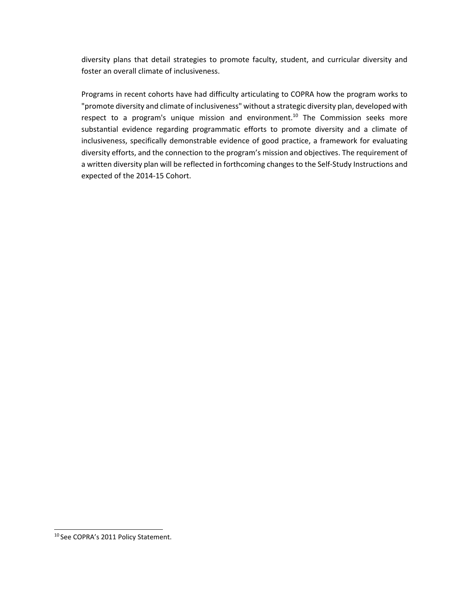diversity plans that detail strategies to promote faculty, student, and curricular diversity and foster an overall climate of inclusiveness.

Programs in recent cohorts have had difficulty articulating to COPRA how the program works to "promote diversity and climate of inclusiveness" without a strategic diversity plan, developed with respect to a program's unique mission and environment.<sup>10</sup> The Commission seeks more substantial evidence regarding programmatic efforts to promote diversity and a climate of inclusiveness, specifically demonstrable evidence of good practice, a framework for evaluating diversity efforts, and the connection to the program's mission and objectives. The requirement of a written diversity plan will be reflected in forthcoming changes to the Self-Study Instructions and expected of the 2014-15 Cohort.

<span id="page-10-0"></span><sup>10</sup> See COPRA's 2011 Policy Statement.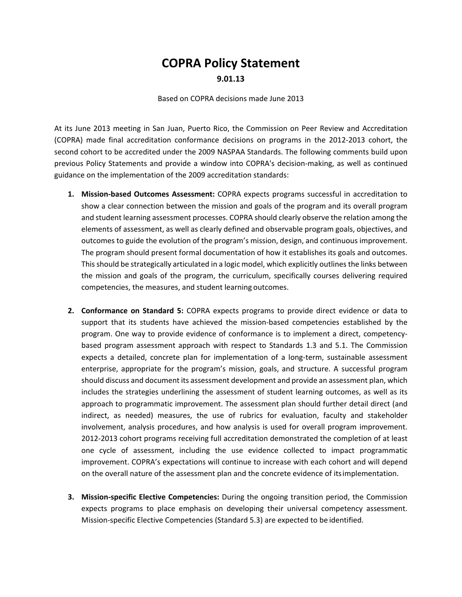# **COPRA Policy Statement 9.01.13**

Based on COPRA decisions made June 2013

At its June 2013 meeting in San Juan, Puerto Rico, the Commission on Peer Review and Accreditation (COPRA) made final accreditation conformance decisions on programs in the 2012-2013 cohort, the second cohort to be accredited under the 2009 NASPAA Standards. The following comments build upon previous Policy Statements and provide a window into COPRA's decision-making, as well as continued guidance on the implementation of the 2009 accreditation standards:

- **1. Mission-based Outcomes Assessment:** COPRA expects programs successful in accreditation to show a clear connection between the mission and goals of the program and its overall program and student learning assessment processes. COPRA should clearly observe the relation among the elements of assessment, as well as clearly defined and observable program goals, objectives, and outcomes to guide the evolution of the program's mission, design, and continuous improvement. The program should present formal documentation of how it establishes its goals and outcomes. This should be strategically articulated in a logic model, which explicitly outlines the links between the mission and goals of the program, the curriculum, specifically courses delivering required competencies, the measures, and student learning outcomes.
- **2. Conformance on Standard 5:** COPRA expects programs to provide direct evidence or data to support that its students have achieved the mission-based competencies established by the program. One way to provide evidence of conformance is to implement a direct, competencybased program assessment approach with respect to Standards 1.3 and 5.1. The Commission expects a detailed, concrete plan for implementation of a long-term, sustainable assessment enterprise, appropriate for the program's mission, goals, and structure. A successful program should discuss and document its assessment development and provide an assessment plan, which includes the strategies underlining the assessment of student learning outcomes, as well as its approach to programmatic improvement. The assessment plan should further detail direct (and indirect, as needed) measures, the use of rubrics for evaluation, faculty and stakeholder involvement, analysis procedures, and how analysis is used for overall program improvement. 2012-2013 cohort programs receiving full accreditation demonstrated the completion of at least one cycle of assessment, including the use evidence collected to impact programmatic improvement. COPRA's expectations will continue to increase with each cohort and will depend on the overall nature of the assessment plan and the concrete evidence of itsimplementation.
- **3. Mission-specific Elective Competencies:** During the ongoing transition period, the Commission expects programs to place emphasis on developing their universal competency assessment. Mission-specific Elective Competencies (Standard 5.3) are expected to be identified.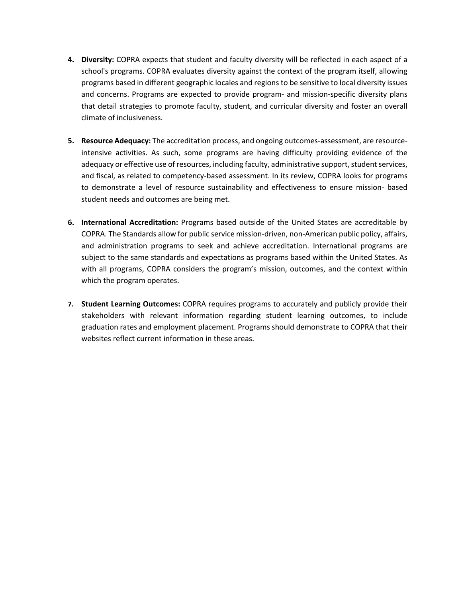- **4. Diversity:** COPRA expects that student and faculty diversity will be reflected in each aspect of a school's programs. COPRA evaluates diversity against the context of the program itself, allowing programs based in different geographic locales and regions to be sensitive to local diversity issues and concerns. Programs are expected to provide program- and mission-specific diversity plans that detail strategies to promote faculty, student, and curricular diversity and foster an overall climate of inclusiveness.
- **5. Resource Adequacy:** The accreditation process, and ongoing outcomes-assessment, are resourceintensive activities. As such, some programs are having difficulty providing evidence of the adequacy or effective use of resources, including faculty, administrative support, student services, and fiscal, as related to competency-based assessment. In its review, COPRA looks for programs to demonstrate a level of resource sustainability and effectiveness to ensure mission- based student needs and outcomes are being met.
- **6. International Accreditation:** Programs based outside of the United States are accreditable by COPRA. The Standards allow for public service mission-driven, non-American public policy, affairs, and administration programs to seek and achieve accreditation. International programs are subject to the same standards and expectations as programs based within the United States. As with all programs, COPRA considers the program's mission, outcomes, and the context within which the program operates.
- **7. Student Learning Outcomes:** COPRA requires programs to accurately and publicly provide their stakeholders with relevant information regarding student learning outcomes, to include graduation rates and employment placement. Programs should demonstrate to COPRA that their websites reflect current information in these areas.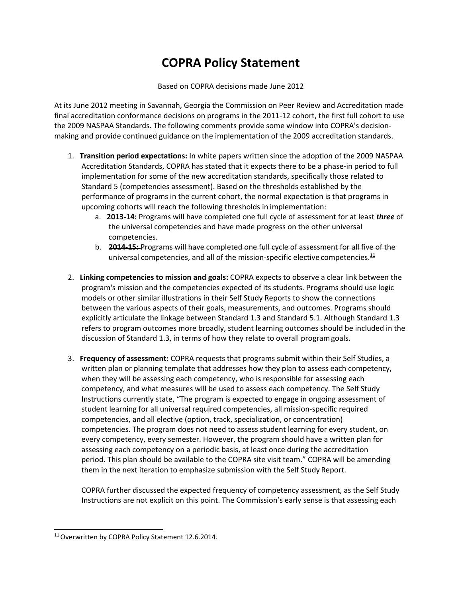# **COPRA Policy Statement**

Based on COPRA decisions made June 2012

At its June 2012 meeting in Savannah, Georgia the Commission on Peer Review and Accreditation made final accreditation conformance decisions on programs in the 2011-12 cohort, the first full cohort to use the 2009 NASPAA Standards. The following comments provide some window into COPRA's decisionmaking and provide continued guidance on the implementation of the 2009 accreditation standards.

- 1. **Transition period expectations:** In white papers written since the adoption of the 2009 NASPAA Accreditation Standards, COPRA has stated that it expects there to be a phase-in period to full implementation for some of the new accreditation standards, specifically those related to Standard 5 (competencies assessment). Based on the thresholds established by the performance of programs in the current cohort, the normal expectation is that programs in upcoming cohorts will reach the following thresholds in implementation:
	- a. **2013-14:** Programs will have completed one full cycle of assessment for at least *three* of the universal competencies and have made progress on the other universal competencies.
	- b. **2014-15:** Programs will have completed one full cycle of assessment for all five of the universal competencies, and all of the mission-specific elective competencies. $^{11}$
- 2. **Linking competencies to mission and goals:** COPRA expects to observe a clear link between the program's mission and the competencies expected of its students. Programs should use logic models or other similar illustrations in their Self Study Reports to show the connections between the various aspects of their goals, measurements, and outcomes. Programs should explicitly articulate the linkage between Standard 1.3 and Standard 5.1. Although Standard 1.3 refers to program outcomes more broadly, student learning outcomes should be included in the discussion of Standard 1.3, in terms of how they relate to overall programgoals.
- 3. **Frequency of assessment:** COPRA requests that programs submit within their Self Studies, a written plan or planning template that addresses how they plan to assess each competency, when they will be assessing each competency, who is responsible for assessing each competency, and what measures will be used to assess each competency. The Self Study Instructions currently state, "The program is expected to engage in ongoing assessment of student learning for all universal required competencies, all mission-specific required competencies, and all elective (option, track, specialization, or concentration) competencies. The program does not need to assess student learning for every student, on every competency, every semester. However, the program should have a written plan for assessing each competency on a periodic basis, at least once during the accreditation period. This plan should be available to the COPRA site visit team." COPRA will be amending them in the next iteration to emphasize submission with the Self Study Report.

COPRA further discussed the expected frequency of competency assessment, as the Self Study Instructions are not explicit on this point. The Commission's early sense is that assessing each

<span id="page-13-0"></span><sup>&</sup>lt;sup>11</sup> Overwritten by COPRA Policy Statement 12.6.2014.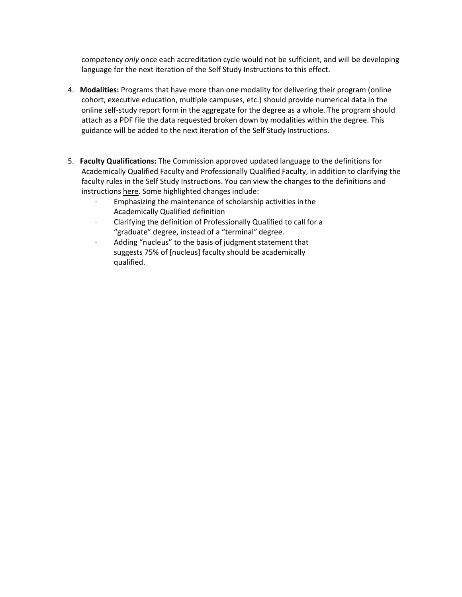competency *only* once each accreditation cycle would not be sufficient, and will be developing language for the next iteration of the Self Study Instructions to this effect.

- 4. **Modalities:** Programs that have more than one modality for delivering their program (online cohort, executive education, multiple campuses, etc.) should provide numerical data in the online self-study report form in the aggregate for the degree as a whole. The program should attach as a PDF file the data requested broken down by modalities within the degree. This guidance will be added to the next iteration of the Self Study Instructions.
- 5. **Faculty Qualifications:** The Commission approved updated language to the definitions for Academically Qualified Faculty and Professionally Qualified Faculty, in addition to clarifying the faculty rules in the Self Study Instructions. You can view the changes to the definitions and instructions [here. S](http://naspaa.org/accreditation/NS/AQ_PQ%20Changes%20_%20Jade%20Comments%20(1).doc)ome highlighted changes include:
	- · Emphasizing the maintenance of scholarship activities inthe Academically Qualified definition
	- · Clarifying the definition of Professionally Qualified to call for a "graduate" degree, instead of a "terminal" degree.
	- Adding "nucleus" to the basis of judgment statement that suggests 75% of [nucleus] faculty should be academically qualified.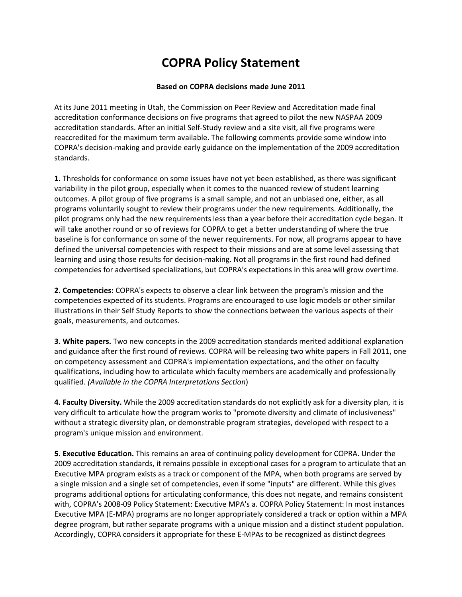# **COPRA Policy Statement**

### **Based on COPRA decisions made June 2011**

At its June 2011 meeting in Utah, the Commission on Peer Review and Accreditation made final accreditation conformance decisions on five programs that agreed to pilot the new NASPAA 2009 accreditation standards. After an initial Self-Study review and a site visit, all five programs were reaccredited for the maximum term available. The following comments provide some window into COPRA's decision-making and provide early guidance on the implementation of the 2009 accreditation standards.

**1.** Thresholds for conformance on some issues have not yet been established, as there was significant variability in the pilot group, especially when it comes to the nuanced review of student learning outcomes. A pilot group of five programs is a small sample, and not an unbiased one, either, as all programs voluntarily sought to review their programs under the new requirements. Additionally, the pilot programs only had the new requirements less than a year before their accreditation cycle began. It will take another round or so of reviews for COPRA to get a better understanding of where the true baseline is for conformance on some of the newer requirements. For now, all programs appear to have defined the universal competencies with respect to their missions and are at some level assessing that learning and using those results for decision-making. Not all programs in the first round had defined competencies for advertised specializations, but COPRA's expectations in this area will grow overtime.

**2. Competencies:** COPRA's expects to observe a clear link between the program's mission and the competencies expected of its students. Programs are encouraged to use logic models or other similar illustrations in their Self Study Reports to show the connections between the various aspects of their goals, measurements, and outcomes.

**3. White papers.** Two new concepts in the 2009 accreditation standards merited additional explanation and guidance after the first round of reviews. COPRA will be releasing two white papers in Fall 2011, one on competency assessment and COPRA's implementation expectations, and the other on faculty qualifications, including how to articulate which faculty members are academically and professionally qualified. *(Available in the COPRA Interpretations Section*)

**4. Faculty Diversity.** While the 2009 accreditation standards do not explicitly ask for a diversity plan, it is very difficult to articulate how the program works to "promote diversity and climate of inclusiveness" without a strategic diversity plan, or demonstrable program strategies, developed with respect to a program's unique mission and environment.

**5. Executive Education.** This remains an area of continuing policy development for COPRA. Under the 2009 accreditation standards, it remains possible in exceptional cases for a program to articulate that an Executive MPA program exists as a track or component of the MPA, when both programs are served by a single mission and a single set of competencies, even if some "inputs" are different. While this gives programs additional options for articulating conformance, this does not negate, and remains consistent with, COPRA's 2008-09 Policy Statement: Executive MPA's a. COPRA Policy Statement: In most instances Executive MPA (E-MPA) programs are no longer appropriately considered a track or option within a MPA degree program, but rather separate programs with a unique mission and a distinct student population. Accordingly, COPRA considers it appropriate for these E-MPAs to be recognized as distinct degrees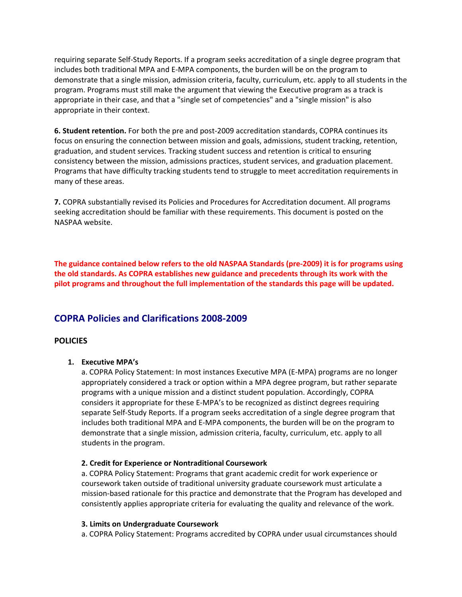requiring separate Self-Study Reports. If a program seeks accreditation of a single degree program that includes both traditional MPA and E-MPA components, the burden will be on the program to demonstrate that a single mission, admission criteria, faculty, curriculum, etc. apply to all students in the program. Programs must still make the argument that viewing the Executive program as a track is appropriate in their case, and that a "single set of competencies" and a "single mission" is also appropriate in their context.

**6. Student retention.** For both the pre and post-2009 accreditation standards, COPRA continues its focus on ensuring the connection between mission and goals, admissions, student tracking, retention, graduation, and student services. Tracking student success and retention is critical to ensuring consistency between the mission, admissions practices, student services, and graduation placement. Programs that have difficulty tracking students tend to struggle to meet accreditation requirements in many of these areas.

**7.** COPRA substantially revised its Policies and Procedures for Accreditation document. All programs seeking accreditation should be familiar with these requirements. This document is posted on the NASPAA website.

**The guidance contained below refers to the old NASPAA Standards (pre-2009) it is for programs using the old standards. As COPRA establishes new guidance and precedents through its work with the pilot programs and throughout the full implementation of the standards this page will be updated.**

### **COPRA Policies and Clarifications 2008-2009**

### **POLICIES**

### **1. Executive MPA's**

a. COPRA Policy Statement: In most instances Executive MPA (E-MPA) programs are no longer appropriately considered a track or option within a MPA degree program, but rather separate programs with a unique mission and a distinct student population. Accordingly, COPRA considers it appropriate for these E-MPA's to be recognized as distinct degrees requiring separate Self-Study Reports. If a program seeks accreditation of a single degree program that includes both traditional MPA and E-MPA components, the burden will be on the program to demonstrate that a single mission, admission criteria, faculty, curriculum, etc. apply to all students in the program.

### **2. Credit for Experience or Nontraditional Coursework**

a. COPRA Policy Statement: Programs that grant academic credit for work experience or coursework taken outside of traditional university graduate coursework must articulate a mission-based rationale for this practice and demonstrate that the Program has developed and consistently applies appropriate criteria for evaluating the quality and relevance of the work.

### **3. Limits on Undergraduate Coursework**

a. COPRA Policy Statement: Programs accredited by COPRA under usual circumstances should